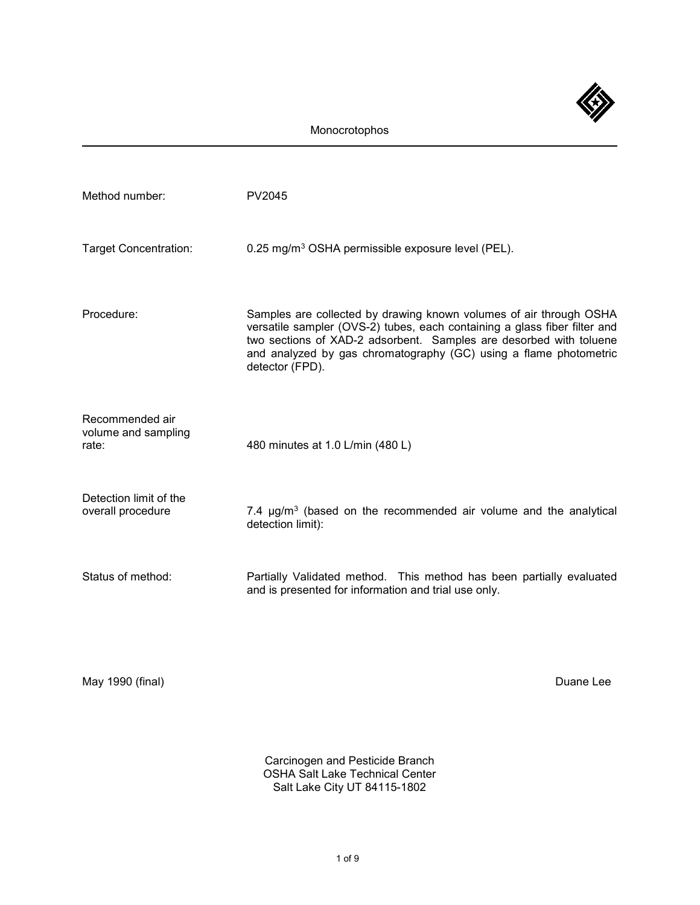

| Method number:                                  | PV2045                                                                                                                                                                                                                                                                                                        |
|-------------------------------------------------|---------------------------------------------------------------------------------------------------------------------------------------------------------------------------------------------------------------------------------------------------------------------------------------------------------------|
| <b>Target Concentration:</b>                    | 0.25 mg/m <sup>3</sup> OSHA permissible exposure level (PEL).                                                                                                                                                                                                                                                 |
| Procedure:                                      | Samples are collected by drawing known volumes of air through OSHA<br>versatile sampler (OVS-2) tubes, each containing a glass fiber filter and<br>two sections of XAD-2 adsorbent. Samples are desorbed with toluene<br>and analyzed by gas chromatography (GC) using a flame photometric<br>detector (FPD). |
| Recommended air<br>volume and sampling<br>rate: | 480 minutes at 1.0 L/min (480 L)                                                                                                                                                                                                                                                                              |
| Detection limit of the<br>overall procedure     | 7.4 µg/m <sup>3</sup> (based on the recommended air volume and the analytical<br>detection limit):                                                                                                                                                                                                            |
| Status of method:                               | Partially Validated method. This method has been partially evaluated<br>and is presented for information and trial use only.                                                                                                                                                                                  |
|                                                 |                                                                                                                                                                                                                                                                                                               |

May 1990 (final) **Duane Lee** 

Carcinogen and Pesticide Branch OSHA Salt Lake Technical Center Salt Lake City UT 84115-1802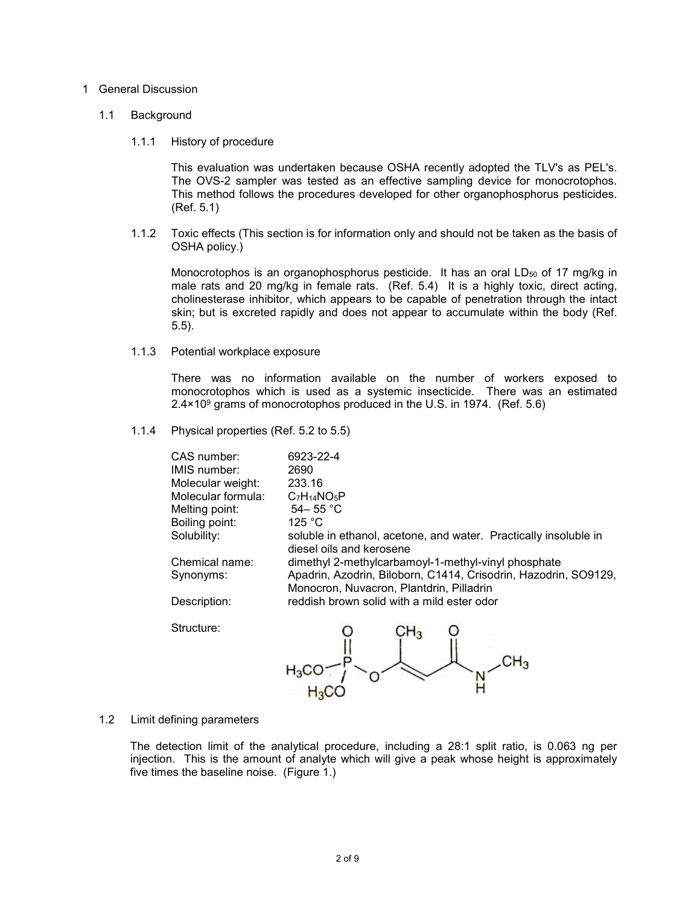## 1 General Discussion

## 1.1 Background

1.1.1 History of procedure

This evaluation was undertaken because OSHA recently adopted the TLV's as PEL's. The OVS-2 sampler was tested as an effective sampling device for monocrotophos. This method follows the procedures developed for other organophosphorus pesticides. (Ref. 5.1)

1.1.2 Toxic effects (This section is for information only and should not be taken as the basis of OSHA policy.)

Monocrotophos is an organophosphorus pesticide. It has an oral LD<sub>50</sub> of 17 mg/kg in male rats and 20 mg/kg in female rats. (Ref. 5.4) It is a highly toxic, direct acting, cholinesterase inhibitor, which appears to be capable of penetration through the intact skin; but is excreted rapidly and does not appear to accumulate within the body (Ref. 5.5).

1.1.3 Potential workplace exposure

There was no information available on the number of workers exposed to monocrotophos which is used as a systemic insecticide. There was an estimated  $2.4 \times 10^9$  grams of monocrotophos produced in the U.S. in 1974. (Ref. 5.6)

1.1.4 Physical properties (Ref. 5.2 to 5.5)

| CAS number:         | 6923-22-4                                                        |
|---------------------|------------------------------------------------------------------|
| <b>IMIS</b> number: | 2690                                                             |
| Molecular weight:   | 233.16                                                           |
| Molecular formula:  | $C7H14NO5P$                                                      |
| Melting point:      | 54 – 55 °C                                                       |
| Boiling point:      | 125 °C                                                           |
| Solubility:         | soluble in ethanol, acetone, and water. Practically insoluble in |
|                     | diesel oils and kerosene                                         |
| Chemical name:      | dimethyl 2-methylcarbamoyl-1-methyl-vinyl phosphate              |
| Synonyms:           | Apadrin, Azodrin, Biloborn, C1414, Crisodrin, Hazodrin, SO9129,  |
|                     | Monocron, Nuvacron, Plantdrin, Pilladrin                         |
| Description:        | reddish brown solid with a mild ester odor                       |
|                     |                                                                  |

Structure:

CH3

1.2 Limit defining parameters

The detection limit of the analytical procedure, including a 28:1 split ratio, is 0.063 ng per injection. This is the amount of analyte which will give a peak whose height is approximately five times the baseline noise. (Figure 1.)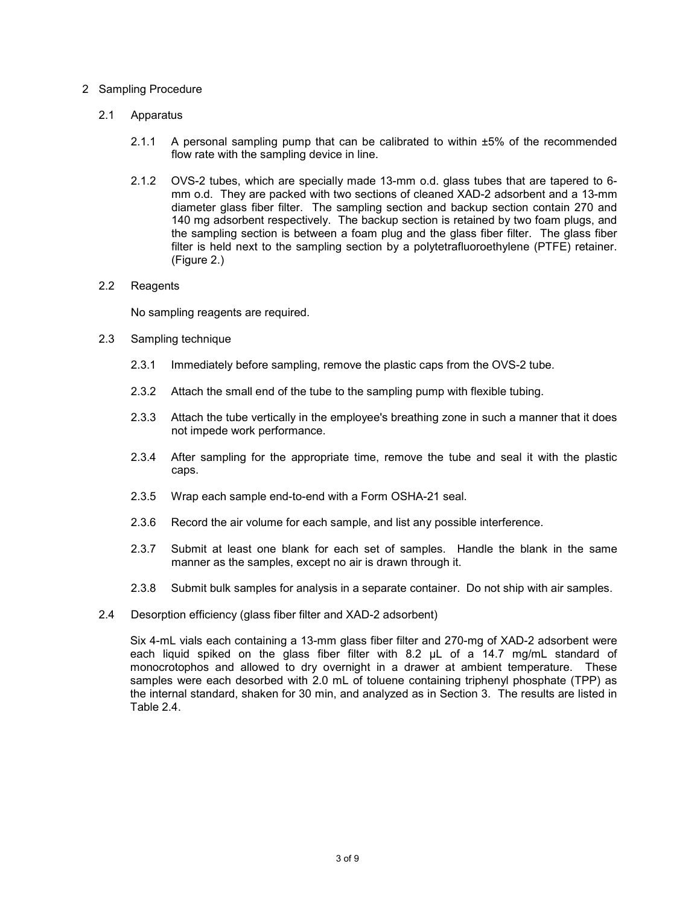# 2 Sampling Procedure

# 2.1 Apparatus

- 2.1.1 A personal sampling pump that can be calibrated to within ±5% of the recommended flow rate with the sampling device in line.
- 2.1.2 OVS-2 tubes, which are specially made 13-mm o.d. glass tubes that are tapered to 6 mm o.d. They are packed with two sections of cleaned XAD-2 adsorbent and a 13-mm diameter glass fiber filter. The sampling section and backup section contain 270 and 140 mg adsorbent respectively. The backup section is retained by two foam plugs, and the sampling section is between a foam plug and the glass fiber filter. The glass fiber filter is held next to the sampling section by a polytetrafluoroethylene (PTFE) retainer. (Figure 2.)

# 2.2 Reagents

No sampling reagents are required.

- 2.3 Sampling technique
	- 2.3.1 Immediately before sampling, remove the plastic caps from the OVS-2 tube.
	- 2.3.2 Attach the small end of the tube to the sampling pump with flexible tubing.
	- 2.3.3 Attach the tube vertically in the employee's breathing zone in such a manner that it does not impede work performance.
	- 2.3.4 After sampling for the appropriate time, remove the tube and seal it with the plastic caps.
	- 2.3.5 Wrap each sample end-to-end with a Form OSHA-21 seal.
	- 2.3.6 Record the air volume for each sample, and list any possible interference.
	- 2.3.7 Submit at least one blank for each set of samples. Handle the blank in the same manner as the samples, except no air is drawn through it.
	- 2.3.8 Submit bulk samples for analysis in a separate container. Do not ship with air samples.
- 2.4 Desorption efficiency (glass fiber filter and XAD-2 adsorbent)

Six 4-mL vials each containing a 13-mm glass fiber filter and 270-mg of XAD-2 adsorbent were each liquid spiked on the glass fiber filter with 8.2 µL of a 14.7 mg/mL standard of monocrotophos and allowed to dry overnight in a drawer at ambient temperature. These samples were each desorbed with 2.0 mL of toluene containing triphenyl phosphate (TPP) as the internal standard, shaken for 30 min, and analyzed as in Section 3. The results are listed in Table 2.4.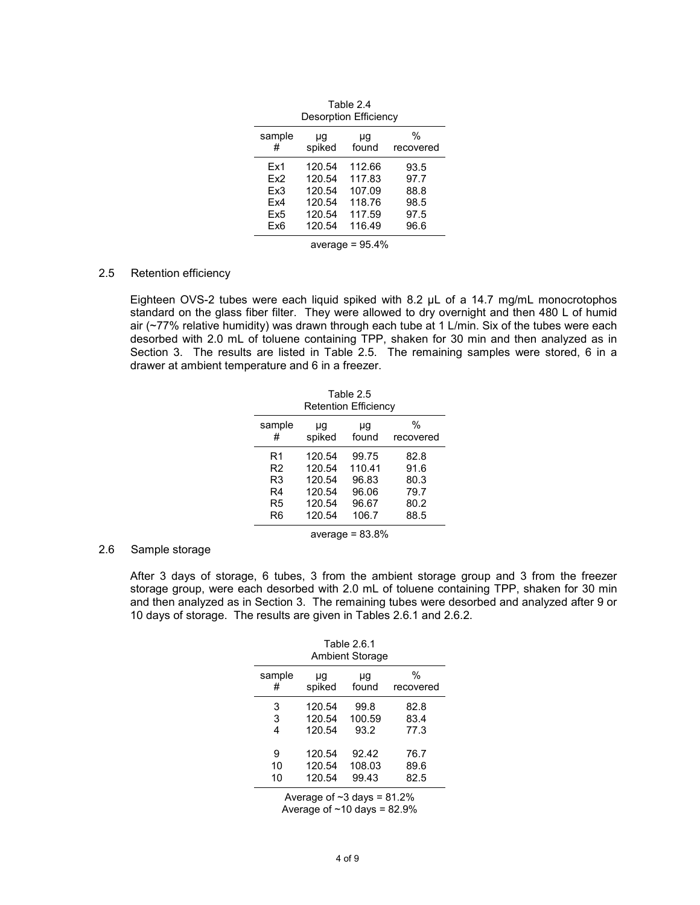| Desorption Efficiency |              |             |                |
|-----------------------|--------------|-------------|----------------|
| sample<br>#           | μg<br>spiked | μg<br>found | %<br>recovered |
| Ex1                   | 120.54       | 112.66      | 93.5           |
| Fx2                   | 120.54       | 117.83      | 97.7           |
| Fx3                   | 120.54       | 107.09      | 88.8           |
| Fx4                   | 120.54       | 118.76      | 98.5           |
| Ex5                   | 120.54       | 117.59      | 97.5           |
| Ex6                   | 120.54       | 116.49      | 96.6           |
| average = $95.4%$     |              |             |                |

Table 2.4

## 2.5 Retention efficiency

Eighteen OVS-2 tubes were each liquid spiked with 8.2 µL of a 14.7 mg/mL monocrotophos standard on the glass fiber filter. They were allowed to dry overnight and then 480 L of humid air (~77% relative humidity) was drawn through each tube at 1 L/min. Six of the tubes were each desorbed with 2.0 mL of toluene containing TPP, shaken for 30 min and then analyzed as in Section 3. The results are listed in Table 2.5. The remaining samples were stored, 6 in a drawer at ambient temperature and 6 in a freezer.

| Table 2.5<br>Retention Efficiency |                                                |                                            |                                      |
|-----------------------------------|------------------------------------------------|--------------------------------------------|--------------------------------------|
| sample<br>#                       | μg<br>spiked                                   | μg<br>found                                | $\%$<br>recovered                    |
| R1<br>R2<br>R3<br>R4<br>R5        | 120.54<br>120.54<br>120.54<br>120.54<br>120.54 | 99.75<br>110.41<br>96.83<br>96.06<br>96.67 | 82.8<br>91.6<br>80.3<br>79.7<br>80.2 |
| R6                                | 120.54                                         | 106.7                                      | 88.5                                 |
| average = $83.8\%$                |                                                |                                            |                                      |

#### 2.6 Sample storage

After 3 days of storage, 6 tubes, 3 from the ambient storage group and 3 from the freezer storage group, were each desorbed with 2.0 mL of toluene containing TPP, shaken for 30 min and then analyzed as in Section 3. The remaining tubes were desorbed and analyzed after 9 or 10 days of storage. The results are given in Tables 2.6.1 and 2.6.2.

| Table 2.6.1<br><b>Ambient Storage</b> |        |        |           |
|---------------------------------------|--------|--------|-----------|
| sample                                | μg     | μg     | $\%$      |
| #                                     | spiked | found  | recovered |
| 3                                     | 120.54 | 99.8   | 82.8      |
| 3                                     | 120.54 | 100.59 | 83.4      |
| 4                                     | 120.54 | 93.2   | 77.3      |
| 9                                     | 120.54 | 92.42  | 76.7      |
| 10                                    | 120.54 | 108.03 | 89.6      |
| 10                                    | 120.54 | 99.43  | 82.5      |

Average of  $~23$  days = 81.2% Average of  $~10$  days = 82.9%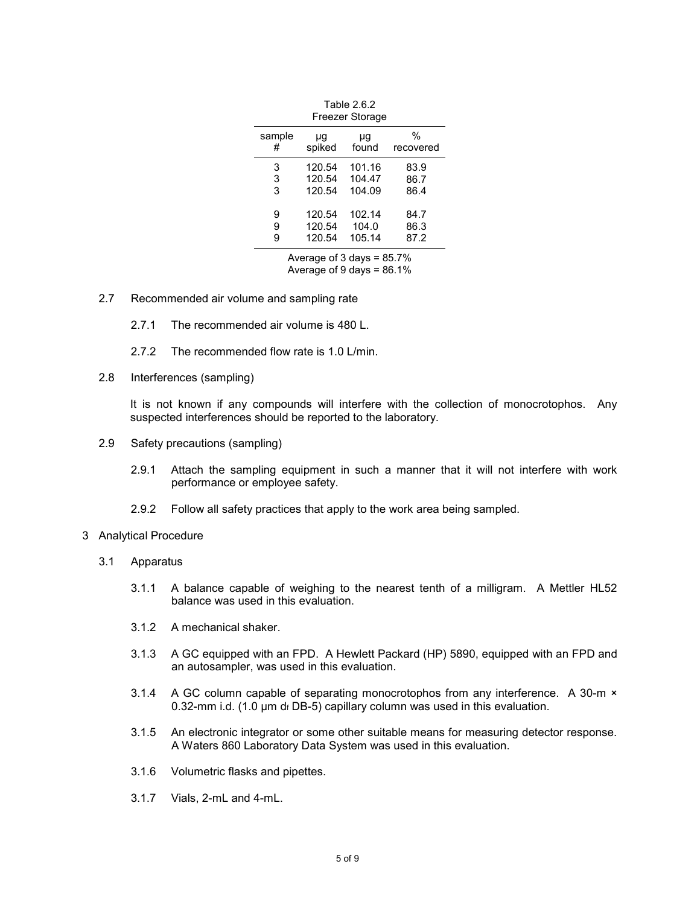| Freezer Storage              |              |             |                   |
|------------------------------|--------------|-------------|-------------------|
| sample<br>#                  | μg<br>spiked | μg<br>found | $\%$<br>recovered |
| 3                            | 120.54       | 101.16      | 83.9              |
| 3                            | 120.54       | 104.47      | 86.7              |
| 3                            | 120.54       | 104.09      | 86.4              |
| 9                            | 120.54       | 102.14      | 84.7              |
| 9                            | 120.54       | 104.0       | 86.3              |
| 9                            | 120.54       | 105.14      | 87.2              |
| Average of 3 days = $85.7\%$ |              |             |                   |

Table 2.6.2

Average of 9 days = 86.1%

- 2.7 Recommended air volume and sampling rate
	- 2.7.1 The recommended air volume is 480 L.
	- 2.7.2 The recommended flow rate is 1.0 L/min.
- 2.8 Interferences (sampling)

It is not known if any compounds will interfere with the collection of monocrotophos. Any suspected interferences should be reported to the laboratory.

- 2.9 Safety precautions (sampling)
	- 2.9.1 Attach the sampling equipment in such a manner that it will not interfere with work performance or employee safety.
	- 2.9.2 Follow all safety practices that apply to the work area being sampled.
- 3 Analytical Procedure
	- 3.1 Apparatus
		- 3.1.1 A balance capable of weighing to the nearest tenth of a milligram. A Mettler HL52 balance was used in this evaluation.
		- 3.1.2 A mechanical shaker.
		- 3.1.3 A GC equipped with an FPD. A Hewlett Packard (HP) 5890, equipped with an FPD and an autosampler, was used in this evaluation.
		- 3.1.4 A GC column capable of separating monocrotophos from any interference. A 30-m × 0.32-mm i.d. (1.0  $\mu$ m df DB-5) capillary column was used in this evaluation.
		- 3.1.5 An electronic integrator or some other suitable means for measuring detector response. A Waters 860 Laboratory Data System was used in this evaluation.
		- 3.1.6 Volumetric flasks and pipettes.
		- 3.1.7 Vials, 2-mL and 4-mL.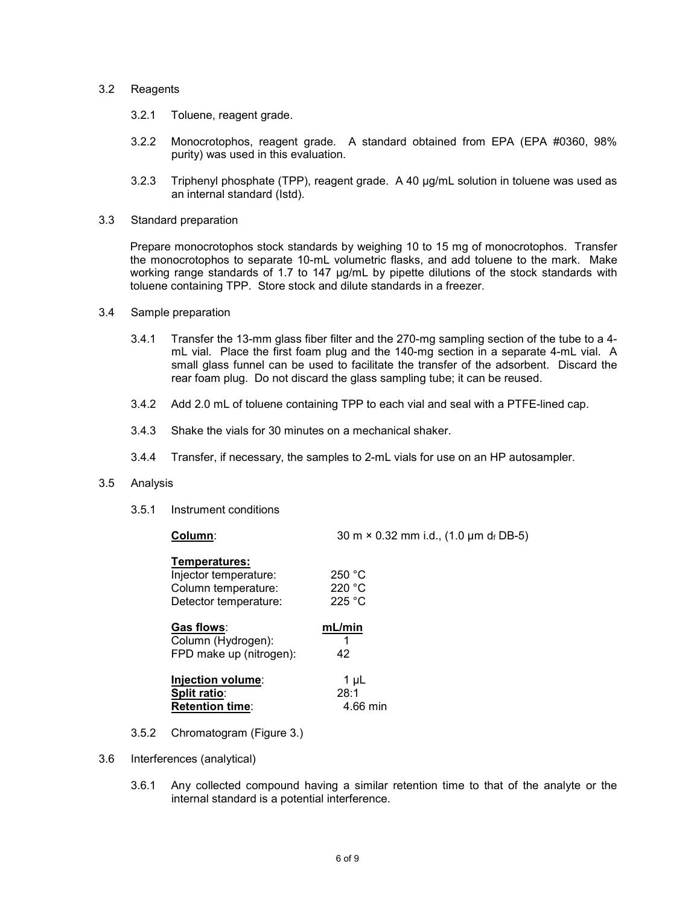## 3.2 Reagents

- 3.2.1 Toluene, reagent grade.
- 3.2.2 Monocrotophos, reagent grade. A standard obtained from EPA (EPA #0360, 98% purity) was used in this evaluation.
- 3.2.3 Triphenyl phosphate (TPP), reagent grade. A 40 µg/mL solution in toluene was used as an internal standard (Istd).
- 3.3 Standard preparation

Prepare monocrotophos stock standards by weighing 10 to 15 mg of monocrotophos. Transfer the monocrotophos to separate 10-mL volumetric flasks, and add toluene to the mark. Make working range standards of 1.7 to 147 µg/mL by pipette dilutions of the stock standards with toluene containing TPP. Store stock and dilute standards in a freezer.

- 3.4 Sample preparation
	- 3.4.1 Transfer the 13-mm glass fiber filter and the 270-mg sampling section of the tube to a 4 mL vial. Place the first foam plug and the 140-mg section in a separate 4-mL vial. A small glass funnel can be used to facilitate the transfer of the adsorbent. Discard the rear foam plug. Do not discard the glass sampling tube; it can be reused.
	- 3.4.2 Add 2.0 mL of toluene containing TPP to each vial and seal with a PTFE-lined cap.
	- 3.4.3 Shake the vials for 30 minutes on a mechanical shaker.
	- 3.4.4 Transfer, if necessary, the samples to 2-mL vials for use on an HP autosampler.

### 3.5 Analysis

3.5.1 Instrument conditions

| Column:                 | 30 m × 0.32 mm i.d., (1.0 µm df DB-5) |  |
|-------------------------|---------------------------------------|--|
| Temperatures:           |                                       |  |
| Injector temperature:   | 250 °C                                |  |
| Column temperature:     | 220 °C                                |  |
| Detector temperature:   | 225 °C                                |  |
| Gas flows:              | mL/min                                |  |
| Column (Hydrogen):      | 1                                     |  |
| FPD make up (nitrogen): | 42                                    |  |
| Injection volume:       | 1 µL                                  |  |
| Split ratio:            | 28:1                                  |  |
| <b>Retention time:</b>  | 4.66 min                              |  |
|                         |                                       |  |

- 3.5.2 Chromatogram (Figure 3.)
- 3.6 Interferences (analytical)
	- 3.6.1 Any collected compound having a similar retention time to that of the analyte or the internal standard is a potential interference.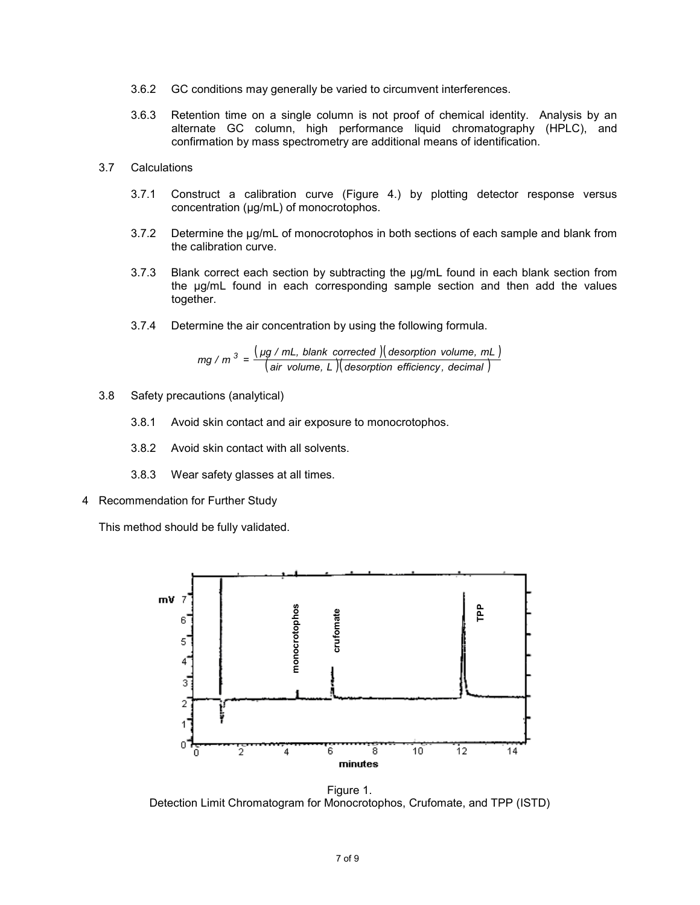- 3.6.2 GC conditions may generally be varied to circumvent interferences.
- 3.6.3 Retention time on a single column is not proof of chemical identity. Analysis by an alternate GC column, high performance liquid chromatography (HPLC), and confirmation by mass spectrometry are additional means of identification.

## 3.7 Calculations

- 3.7.1 Construct a calibration curve (Figure 4.) by plotting detector response versus concentration (µg/mL) of monocrotophos.
- 3.7.2 Determine the µg/mL of monocrotophos in both sections of each sample and blank from the calibration curve.
- 3.7.3 Blank correct each section by subtracting the µg/mL found in each blank section from the µg/mL found in each corresponding sample section and then add the values together.
- 3.7.4 Determine the air concentration by using the following formula.

$$
mg / m3 = \frac{(\mu g / mL, blank corrected)(desorption volume, mL)}{(air volume, L)(desorption efficiency, decimal)}
$$

- 3.8 Safety precautions (analytical)
	- 3.8.1 Avoid skin contact and air exposure to monocrotophos.
	- 3.8.2 Avoid skin contact with all solvents.
	- 3.8.3 Wear safety glasses at all times.
- 4 Recommendation for Further Study

This method should be fully validated.



Figure 1.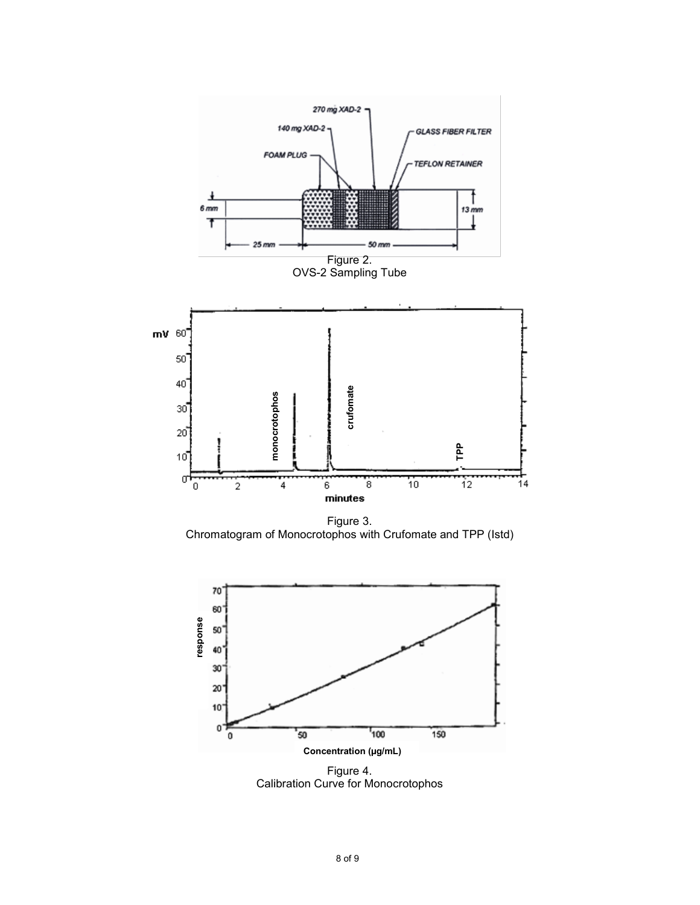

Figure 3. Chromatogram of Monocrotophos with Crufomate and TPP (Istd)



Figure 4.<br>Calibration Curve for Monocrotophos